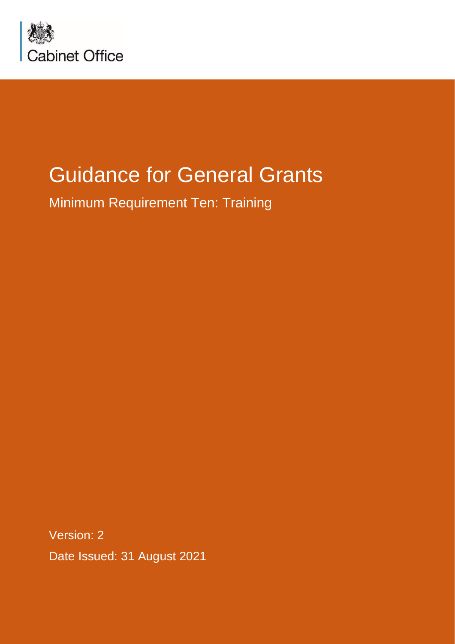

# Guidance for General Grants

Minimum Requirement Ten: Training

Date Issued: 31 August 2021 Version: 2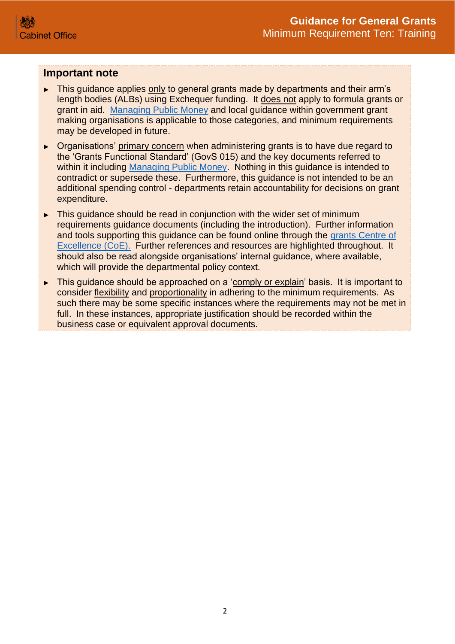#### **Important note**

- ► This guidance applies only to general grants made by departments and their arm's length bodies (ALBs) using Exchequer funding. It does not apply to formula grants or grant in aid. [Managing Public Money](https://www.gov.uk/government/publications/managing-public-money) and local guidance within government grant making organisations is applicable to those categories, and minimum requirements may be developed in future.
- ► Organisations' primary concern when administering grants is to have due regard to the 'Grants Functional Standard' (GovS 015) and the key documents referred to within it including [Managing Public Money.](https://www.gov.uk/government/publications/managing-public-money) Nothing in this guidance is intended to contradict or supersede these. Furthermore, this guidance is not intended to be an additional spending control - departments retain accountability for decisions on grant expenditure.
- ► This guidance should be read in conjunction with the wider set of minimum requirements guidance documents (including the introduction). Further information and tools supporting this guidance can be found online through the [grants Centre of](https://gcoe.civilservice.gov.uk/)  [Excellence \(CoE\).](https://gcoe.civilservice.gov.uk/) Further references and resources are highlighted throughout. It should also be read alongside organisations' internal guidance, where available, which will provide the departmental policy context.
- ► This guidance should be approached on a 'comply or explain' basis. It is important to consider flexibility and proportionality in adhering to the minimum requirements. As such there may be some specific instances where the requirements may not be met in full. In these instances, appropriate justification should be recorded within the business case or equivalent approval documents.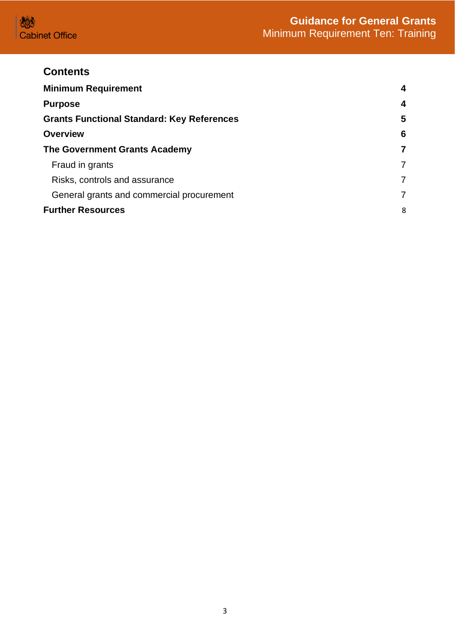

## **Contents**

| <b>Minimum Requirement</b>                        |   |
|---------------------------------------------------|---|
| <b>Purpose</b>                                    | 4 |
| <b>Grants Functional Standard: Key References</b> | 5 |
| <b>Overview</b>                                   | 6 |
| <b>The Government Grants Academy</b>              | 7 |
| Fraud in grants                                   | 7 |
| Risks, controls and assurance                     | 7 |
| General grants and commercial procurement         | 7 |
| <b>Further Resources</b>                          |   |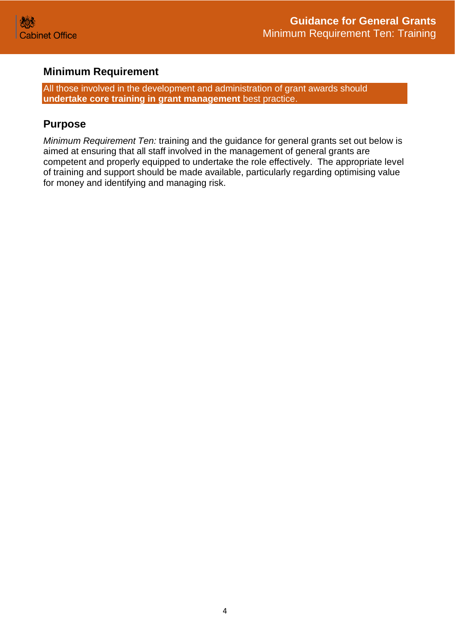

## <span id="page-3-0"></span>**Minimum Requirement**

All those involved in the development and administration of grant awards should **undertake core training in grant management** best practice.

## <span id="page-3-1"></span>**Purpose**

*Minimum Requirement Ten:* training and the guidance for general grants set out below is aimed at ensuring that all staff involved in the management of general grants are competent and properly equipped to undertake the role effectively. The appropriate level of training and support should be made available, particularly regarding optimising value for money and identifying and managing risk.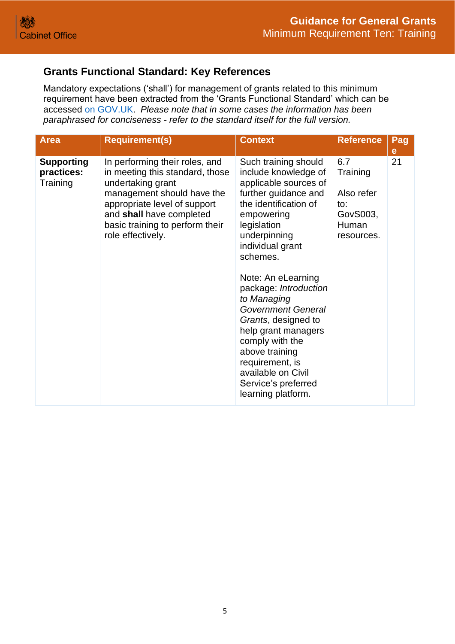## <span id="page-4-0"></span>**Grants Functional Standard: Key References**

Mandatory expectations ('shall') for management of grants related to this minimum requirement have been extracted from the 'Grants Functional Standard' which can be accessed [on GOV.UK.](https://www.gov.uk/government/publications/grants-standards/grant-standards) *Please note that in some cases the information has been paraphrased for conciseness - refer to the standard itself for the full version.*

| <b>Area</b>                                 | <b>Requirement(s)</b>                                                                                                                                                                                                                    | <b>Context</b>                                                                                                                                                                                                                                                                                                                                                                                                                                                          | <b>Reference</b>                                                        | Pag<br>е |
|---------------------------------------------|------------------------------------------------------------------------------------------------------------------------------------------------------------------------------------------------------------------------------------------|-------------------------------------------------------------------------------------------------------------------------------------------------------------------------------------------------------------------------------------------------------------------------------------------------------------------------------------------------------------------------------------------------------------------------------------------------------------------------|-------------------------------------------------------------------------|----------|
| <b>Supporting</b><br>practices:<br>Training | In performing their roles, and<br>in meeting this standard, those<br>undertaking grant<br>management should have the<br>appropriate level of support<br>and shall have completed<br>basic training to perform their<br>role effectively. | Such training should<br>include knowledge of<br>applicable sources of<br>further guidance and<br>the identification of<br>empowering<br>legislation<br>underpinning<br>individual grant<br>schemes.<br>Note: An eLearning<br>package: Introduction<br>to Managing<br><b>Government General</b><br>Grants, designed to<br>help grant managers<br>comply with the<br>above training<br>requirement, is<br>available on Civil<br>Service's preferred<br>learning platform. | 6.7<br>Training<br>Also refer<br>to:<br>GovS003,<br>Human<br>resources. | 21       |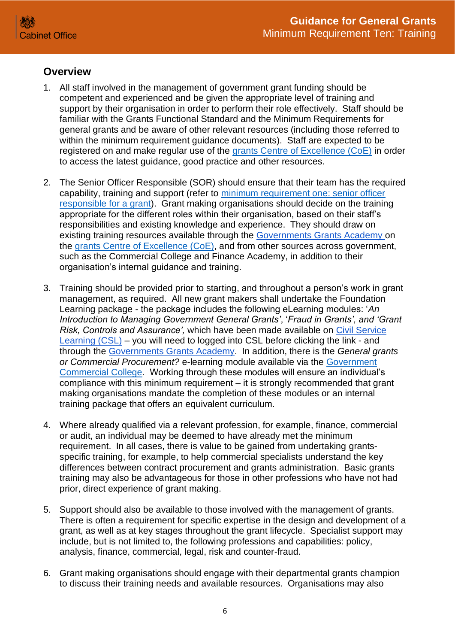### <span id="page-5-0"></span>**Overview**

- 1. All staff involved in the management of government grant funding should be competent and experienced and be given the appropriate level of training and support by their organisation in order to perform their role effectively. Staff should be familiar with the Grants Functional Standard and the Minimum Requirements for general grants and be aware of other relevant resources (including those referred to within the minimum requirement guidance documents). Staff are expected to be registered on and make regular use of the [grants Centre of Excellence \(CoE\)](https://gcoe.civilservice.gov.uk/) in order to access the latest guidance, good practice and other resources.
- 2. The Senior Officer Responsible (SOR) should ensure that their team has the required capability, training and support (refer to [minimum requirement one: senior officer](https://assets.publishing.service.gov.uk/government/uploads/system/uploads/attachment_data/file/722194/Grants-Standard-ONE-SRO.pdf)  [responsible for a grant\)](https://assets.publishing.service.gov.uk/government/uploads/system/uploads/attachment_data/file/722194/Grants-Standard-ONE-SRO.pdf). Grant making organisations should decide on the training appropriate for the different roles within their organisation, based on their staff's responsibilities and existing knowledge and experience. They should draw on existing training resources available through the [Governments Grants Academy](https://gcoe.civilservice.gov.uk/government-grants-academy/) on the [grants Centre of Excellence \(CoE\),](https://gcoe.civilservice.gov.uk/) and from other sources across government, such as the Commercial College and Finance Academy, in addition to their organisation's internal guidance and training.
- 3. Training should be provided prior to starting, and throughout a person's work in grant management, as required. All new grant makers shall undertake the Foundation Learning package - the package includes the following eLearning modules: '*An Introduction to Managing Government General Grants'*, '*Fraud in Grants', and 'Grant Risk, Controls and Assurance',* which have been made available on [Civil Service](https://learn.civilservice.gov.uk/courses/frixt-BeRo-U0T1nRjsoZA)  [Learning \(CSL\)](https://learn.civilservice.gov.uk/courses/frixt-BeRo-U0T1nRjsoZA) – you will need to logged into CSL before clicking the link - and through the [Governments Grants Academy.](https://gcoe.civilservice.gov.uk/government-grants-academy/) In addition, there is the *General grants or Commercial Procurement?* e-learning module available via the [Government](https://www.govcommercialcollege.co.uk/auth/cabinetoffice/login.php)  [Commercial College.](https://www.govcommercialcollege.co.uk/auth/cabinetoffice/login.php) Working through these modules will ensure an individual's compliance with this minimum requirement – it is strongly recommended that grant making organisations mandate the completion of these modules or an internal training package that offers an equivalent curriculum.
- 4. Where already qualified via a relevant profession, for example, finance, commercial or audit, an individual may be deemed to have already met the minimum requirement. In all cases, there is value to be gained from undertaking grantsspecific training, for example, to help commercial specialists understand the key differences between contract procurement and grants administration. Basic grants training may also be advantageous for those in other professions who have not had prior, direct experience of grant making.
- 5. Support should also be available to those involved with the management of grants. There is often a requirement for specific expertise in the design and development of a grant, as well as at key stages throughout the grant lifecycle. Specialist support may include, but is not limited to, the following professions and capabilities: policy, analysis, finance, commercial, legal, risk and counter-fraud.
- 6. Grant making organisations should engage with their departmental grants champion to discuss their training needs and available resources. Organisations may also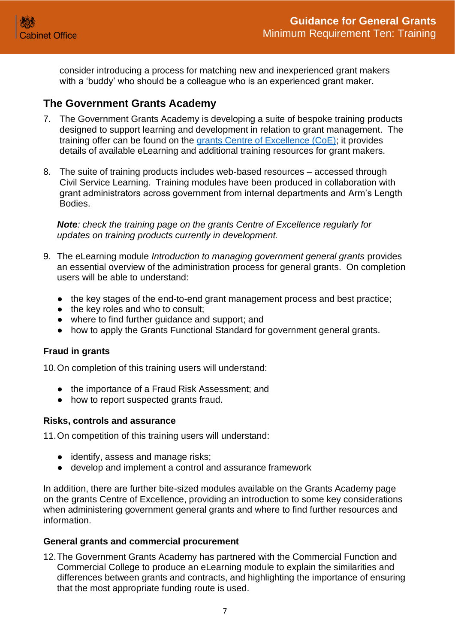

consider introducing a process for matching new and inexperienced grant makers with a 'buddy' who should be a colleague who is an experienced grant maker.

#### <span id="page-6-0"></span>**The Government Grants Academy**

- 7. The Government Grants Academy is developing a suite of bespoke training products designed to support learning and development in relation to grant management. The training offer can be found on the [grants Centre of Excellence](https://gcoe.civilservice.gov.uk/) (CoE); it provides details of available eLearning and additional training resources for grant makers.
- 8. The suite of training products includes web-based resources accessed through Civil Service Learning. Training modules have been produced in collaboration with grant administrators across government from internal departments and Arm's Length Bodies.

*Note: check the training page on the grants Centre of Excellence regularly for updates on training products currently in development.*

- 9. The eLearning module *Introduction to managing government general grants* provides an essential overview of the administration process for general grants. On completion users will be able to understand:
	- the key stages of the end-to-end grant management process and best practice;
	- the key roles and who to consult;
	- where to find further guidance and support; and
	- how to apply the Grants Functional Standard for government general grants.

#### <span id="page-6-1"></span>**Fraud in grants**

10.On completion of this training users will understand:

- the importance of a Fraud Risk Assessment; and
- how to report suspected grants fraud.

#### <span id="page-6-2"></span>**Risks, controls and assurance**

11.On competition of this training users will understand:

- identify, assess and manage risks:
- develop and implement a control and assurance framework

In addition, there are further bite-sized modules available on the Grants Academy page on the grants Centre of Excellence, providing an introduction to some key considerations when administering government general grants and where to find further resources and information.

#### <span id="page-6-3"></span>**General grants and commercial procurement**

12.The Government Grants Academy has partnered with the Commercial Function and Commercial College to produce an eLearning module to explain the similarities and differences between grants and contracts, and highlighting the importance of ensuring that the most appropriate funding route is used.